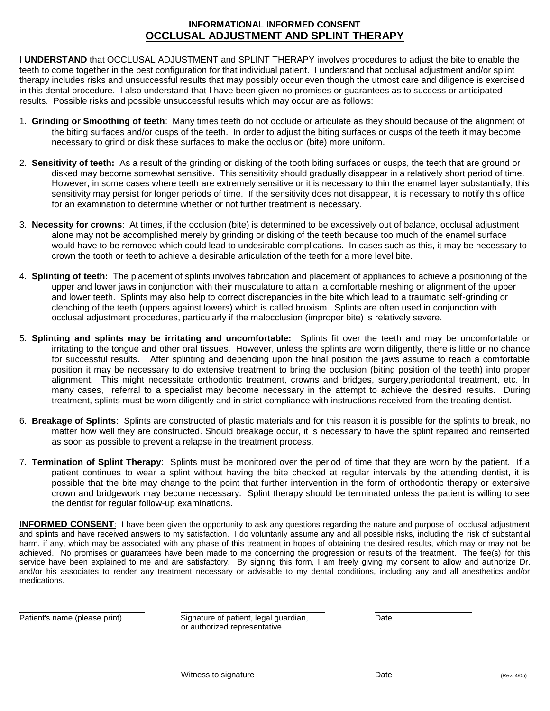## **INFORMATIONAL INFORMED CONSENT OCCLUSAL ADJUSTMENT AND SPLINT THERAPY**

**I UNDERSTAND** that OCCLUSAL ADJUSTMENT and SPLINT THERAPY involves procedures to adjust the bite to enable the teeth to come together in the best configuration for that individual patient. I understand that occlusal adjustment and/or splint therapy includes risks and unsuccessful results that may possibly occur even though the utmost care and diligence is exercised in this dental procedure. I also understand that I have been given no promises or guarantees as to success or anticipated results. Possible risks and possible unsuccessful results which may occur are as follows:

- 1. **Grinding or Smoothing of teeth**: Many times teeth do not occlude or articulate as they should because of the alignment of the biting surfaces and/or cusps of the teeth. In order to adjust the biting surfaces or cusps of the teeth it may become necessary to grind or disk these surfaces to make the occlusion (bite) more uniform.
- 2. **Sensitivity of teeth:** As a result of the grinding or disking of the tooth biting surfaces or cusps, the teeth that are ground or disked may become somewhat sensitive. This sensitivity should gradually disappear in a relatively short period of time. However, in some cases where teeth are extremely sensitive or it is necessary to thin the enamel layer substantially, this sensitivity may persist for longer periods of time. If the sensitivity does not disappear, it is necessary to notify this office for an examination to determine whether or not further treatment is necessary.
- 3. **Necessity for crowns**: At times, if the occlusion (bite) is determined to be excessively out of balance, occlusal adjustment alone may not be accomplished merely by grinding or disking of the teeth because too much of the enamel surface would have to be removed which could lead to undesirable complications. In cases such as this, it may be necessary to crown the tooth or teeth to achieve a desirable articulation of the teeth for a more level bite.
- 4. **Splinting of teeth:** The placement of splints involves fabrication and placement of appliances to achieve a positioning of the upper and lower jaws in conjunction with their musculature to attain a comfortable meshing or alignment of the upper and lower teeth. Splints may also help to correct discrepancies in the bite which lead to a traumatic self-grinding or clenching of the teeth (uppers against lowers) which is called bruxism. Splints are often used in conjunction with occlusal adjustment procedures, particularly if the malocclusion (improper bite) is relatively severe.
- 5. **Splinting and splints may be irritating and uncomfortable:** Splints fit over the teeth and may be uncomfortable or irritating to the tongue and other oral tissues. However, unless the splints are worn diligently, there is little or no chance for successful results. After splinting and depending upon the final position the jaws assume to reach a comfortable position it may be necessary to do extensive treatment to bring the occlusion (biting position of the teeth) into proper alignment. This might necessitate orthodontic treatment, crowns and bridges, surgery,periodontal treatment, etc. In many cases, referral to a specialist may become necessary in the attempt to achieve the desired results. During treatment, splints must be worn diligently and in strict compliance with instructions received from the treating dentist.
- 6. **Breakage of Splints**: Splints are constructed of plastic materials and for this reason it is possible for the splints to break, no matter how well they are constructed. Should breakage occur, it is necessary to have the splint repaired and reinserted as soon as possible to prevent a relapse in the treatment process.
- 7. **Termination of Splint Therapy**: Splints must be monitored over the period of time that they are worn by the patient. If a patient continues to wear a splint without having the bite checked at regular intervals by the attending dentist, it is possible that the bite may change to the point that further intervention in the form of orthodontic therapy or extensive crown and bridgework may become necessary. Splint therapy should be terminated unless the patient is willing to see the dentist for regular follow-up examinations.

**INFORMED CONSENT**: I have been given the opportunity to ask any questions regarding the nature and purpose of occlusal adjustment and splints and have received answers to my satisfaction. I do voluntarily assume any and all possible risks, including the risk of substantial harm, if any, which may be associated with any phase of this treatment in hopes of obtaining the desired results, which may or may not be achieved. No promises or guarantees have been made to me concerning the progression or results of the treatment. The fee(s) for this service have been explained to me and are satisfactory. By signing this form, I am freely giving my consent to allow and authorize Dr. and/or his associates to render any treatment necessary or advisable to my dental conditions, including any and all anesthetics and/or medications.

 $\overline{a}$ 

Patient's name (please print) Signature of patient, legal guardian, Date or authorized representative

 $\overline{a}$